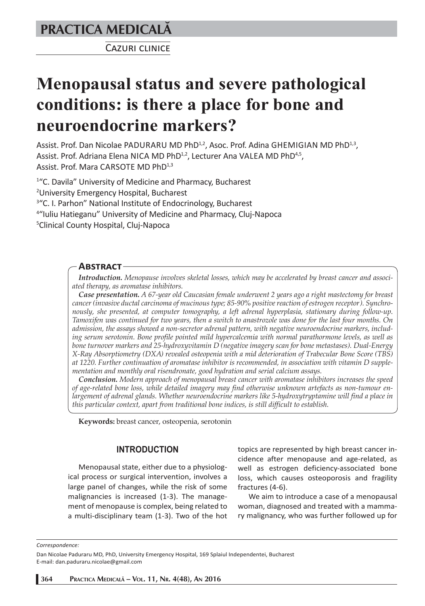# **PRACTICA MEDICALÅ**

CAZURI CLINICE

# **Menopausal status and severe pathological conditions: is there a place for bone and neuroendocrine markers?**

Assist. Prof. Dan Nicolae PADURARU MD PhD<sup>1,2</sup>, Asoc. Prof. Adina GHEMIGIAN MD PhD<sup>1,3</sup>, Assist. Prof. Adriana Elena NICA MD PhD<sup>1,2</sup>, Lecturer Ana VALEA MD PhD<sup>4,5</sup>, Assist. Prof. Mara CARSOTE MD PhD<sup>1,3</sup>

<sup>1</sup>"C. Davila" University of Medicine and Pharmacy, Bucharest 2 University Emergency Hospital, Bucharest <sup>3</sup>"C. I. Parhon" National Institute of Endocrinology, Bucharest 4 "Iuliu Hatieganu" University of Medicine and Pharmacy, Cluj-Napoca 5 Clinical County Hospital, Cluj-Napoca

#### **ABSTRACT**

*Introduction. Menopause involves skeletal losses, which may be accelerated by breast cancer and associated therapy, as aromatase inhibitors.*

*Case presentation. A 67-year old Caucasian female underwent 2 years ago a right mastectomy for breast cancer (invasive ductal carcinoma of mucinous type; 85-90% positive reaction of estrogen receptor). Synchronously, she presented, at computer tomography, a left adrenal hyperplasia, stationary during follow-up. Tamoxifen was continued for two years, then a switch to anastrozole was done for the last four months. On admission, the assays showed a non-secretor adrenal pattern, with negative neuroendocrine markers, including serum serotonin. Bone profile pointed mild hypercalcemia with normal parathormone levels, as well as bone turnover markers and 25-hydroxyvitamin D (negative imagery scan for bone metastases). Dual-Energy X-Ray Absorptiometry (DXA) revealed osteopenia with a mid deterioration of Trabecular Bone Score (TBS) at 1220. Further continuation of aromatase inhibitor is recommended, in association with vitamin D supplementation and monthly oral risendronate, good hydration and serial calcium assays.* 

*Conclusion. Modern approach of menopausal breast cancer with aromatase inhibitors increases the speed of age-related bone loss, while detailed imagery may find otherwise unknown artefacts as non-tumour enlargement of adrenal glands. Whether neuroendocrine markers like 5-hydroxytryptamine will find a place in this particular context, apart from traditional bone indices, is still difficult to establish.*

**Keywords:** breast cancer, osteopenia, serotonin

#### **INTRODUCTION**

Menopausal state, either due to a physiological process or surgical intervention, involves a large panel of changes, while the risk of some malignancies is increased (1-3). The management of menopause is complex, being related to a multi-disciplinary team (1-3). Two of the hot

topics are represented by high breast cancer incidence after menopause and age-related, as well as estrogen deficiency-associated bone loss, which causes osteoporosis and fragility fractures (4-6).

We aim to introduce a case of a menopausal woman, diagnosed and treated with a mammary malignancy, who was further followed up for

*Correspondence:* 

**364 PRACTICA MEDICALÅ – VOL. 11, NR. 4(48), AN 2016**

Dan Nicolae Paduraru MD, PhD, University Emergency Hospital, 169 Splaiul Independentei, Bucharest E-mail: dan.paduraru.nicolae@gmail.com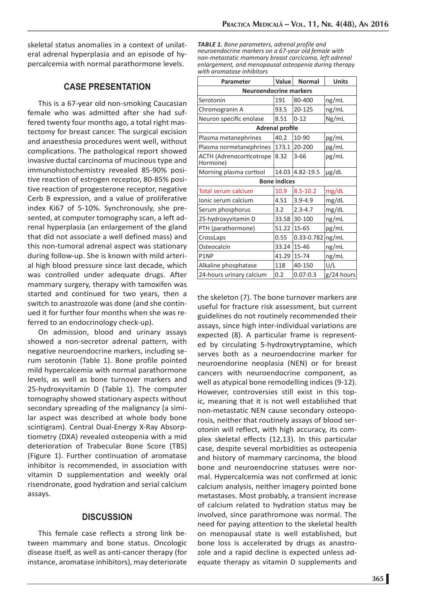skeletal status anomalies in a context of unilateral adrenal hyperplasia and an episode of hypercalcemia with normal parathormone levels.

# **CASE PRESENTATION**

This is a 67-year old non-smoking Caucasian female who was admitted after she had suffered twenty four months ago, a total right mastectomy for breast cancer. The surgical excision and anaesthesia procedures went well, without complications. The pathological report showed invasive ductal carcinoma of mucinous type and immunohistochemistry revealed 85-90% positive reaction of estrogen receptor, 80-85% positive reaction of progesterone receptor, negative Cerb B expression, and a value of proliferative index Ki67 of 5-10%. Synchronously, she presented, at computer tomography scan, a left adrenal hyperplasia (an enlargement of the gland that did not associate a well defined mass) and this non-tumoral adrenal aspect was stationary during follow-up. She is known with mild arterial high blood pressure since last decade, which was controlled under adequate drugs. After mammary surgery, therapy with tamoxifen was started and continued for two years, then a switch to anastrozole was done (and she continued it for further four months when she was referred to an endocrinology check-up).

On admission, blood and urinary assays showed a non-secretor adrenal pattern, with negative neuroendocrine markers, including serum serotonin (Table 1). Bone profile pointed mild hypercalcemia with normal parathormone levels, as well as bone turnover markers and 25-hydroxyvitamin D (Table 1). The computer tomography showed stationary aspects without secondary spreading of the malignancy (a similar aspect was described at whole body bone scintigram). Central Dual-Energy X-Ray Absorptiometry (DXA) revealed osteopenia with a mid deterioration of Trabecular Bone Score (TBS) (Figure 1). Further continuation of aromatase inhibitor is recommended, in association with vitamin D supplementation and weekly oral risendronate, good hydration and serial calcium assays.

## **DISCUSSION**

This female case reflects a strong link between mammary and bone status. Oncologic disease itself, as well as anti-cancer therapy (for instance, aromatase inhibitors), may deteriorate

*TABLE 1. Bone parameters, adrenal profile and neuroendocrine markers on a 67-year old female with non-metastatic mammary breast carcicoma, left adrenal enlargement, and menopausal osteopenia during therapy with aromatase inhibitors*

| Parameter                                   | Value | <b>Normal</b> | <b>Units</b> |
|---------------------------------------------|-------|---------------|--------------|
| <b>Neuroendocrine markers</b>               |       |               |              |
| Serotonin                                   | 191   | 80-400        | ng/mL        |
| Chromogranin A                              | 93.5  | 20-125        | ng/mL        |
| Neuron specific enolase                     | 8.51  | $0 - 12$      | Ng/mL        |
| <b>Adrenal profile</b>                      |       |               |              |
| Plasma metanephrines                        | 40.2  | 10-90         | pg/mL        |
| Plasma normetanephrines                     | 173.1 | 20-200        | pg/mL        |
| <b>ACTH (Adrenocorticotrope</b><br>Hormone) | 8.32  | $3 - 66$      | pg/mL        |
| Morning plasma cortisol                     | 14.03 | 4.82-19.5     | µg/dL        |
| <b>Bone indices</b>                         |       |               |              |
| <b>Total serum calcium</b>                  | 10.9  | $8.5 - 10.2$  | mg/dL        |
| Ionic serum calcium                         | 4.51  | $3.9 - 4.9$   | mg/dL        |
| Serum phosphorus                            | 3.2   | $2.3 - 4.7$   | mg/dL        |
| 25-hydroxyvitamin D                         | 33.58 | 30-100        | ng/mL        |
| PTH (parathormone)                          | 51.22 | 15-65         | pg/mL        |
| CrossLaps                                   | 0.55  | 0.33-0.782    | ng/mL        |
| Osteocalcin                                 | 33.24 | 15-46         | ng/mL        |
| P1NP                                        | 41.29 | 15-74         | ng/mL        |
| Alkaline phosphatase                        | 118   | 40-150        | U/L          |
| 24-hours urinary calcium                    | 0.2   | $0.07 - 0.3$  | g/24 hours   |

the skeleton (7). The bone turnover markers are useful for fracture risk assessment, but current guidelines do not routinely recommended their assays, since high inter-individual variations are expected (8). A particular frame is represented by circulating 5-hydroxytryptamine, which serves both as a neuroendocrine marker for neuroendorine neoplasia (NEN) or for breast cancers with neuroendocrine component, as well as atypical bone remodelling indices (9-12). However, controversies still exist in this topic, meaning that it is not well established that non-metastatic NEN cause secondary osteoporosis, neither that routinely assays of blood serotonin will reflect, with high accuracy, its complex skeletal effects (12,13). In this particular case, despite several morbidities as osteopenia and history of mammary carcinoma, the blood bone and neuroendocrine statuses were normal. Hypercalcemia was not confirmed at ionic calcium analysis, neither imagery pointed bone metastases. Most probably, a transient increase of calcium related to hydration status may be involved, since parathromone was normal. The need for paying attention to the skeletal health on menopausal state is well established, but bone loss is accelerated by drugs as anastrozole and a rapid decline is expected unless adequate therapy as vitamin D supplements and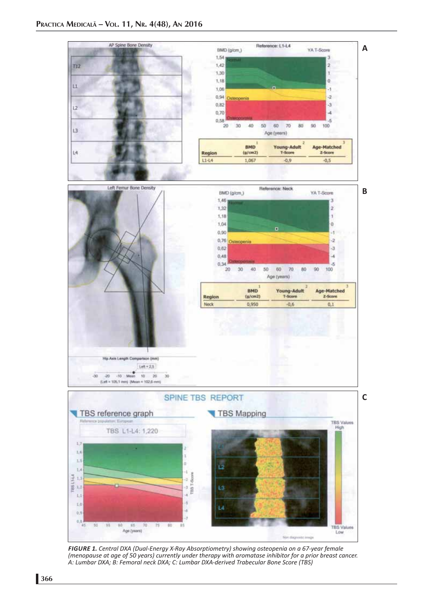

*FIGURE 1. Central DXA (Dual-Energy X-Ray Absorptiometry) showing osteopenia on a 67-year female (menopause at age of 50 years) currently under therapy with aromatase inhibitor for a prior breast cancer. A: Lumbar DXA; B: Femoral neck DXA; C: Lumbar DXA-derived Trabecular Bone Score (TBS)*